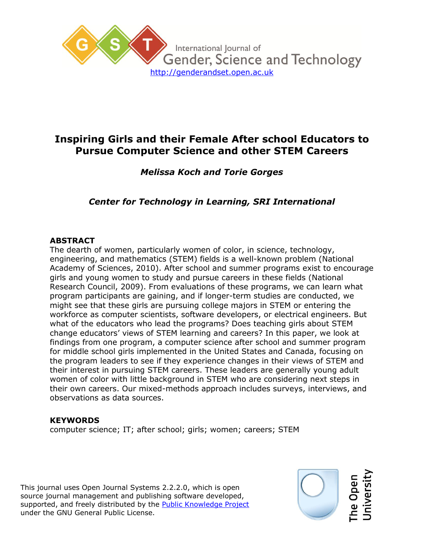

# **Inspiring Girls and their Female After school Educators to Pursue Computer Science and other STEM Careers**

# *Melissa Koch and Torie Gorges*

# *Center for Technology in Learning, SRI International*

### **ABSTRACT**

The dearth of women, particularly women of color, in science, technology, engineering, and mathematics (STEM) fields is a well-known problem (National Academy of Sciences, 2010). After school and summer programs exist to encourage girls and young women to study and pursue careers in these fields (National Research Council, 2009). From evaluations of these programs, we can learn what program participants are gaining, and if longer-term studies are conducted, we might see that these girls are pursuing college majors in STEM or entering the workforce as computer scientists, software developers, or electrical engineers. But what of the educators who lead the programs? Does teaching girls about STEM change educators' views of STEM learning and careers? In this paper, we look at findings from one program, a computer science after school and summer program for middle school girls implemented in the United States and Canada, focusing on the program leaders to see if they experience changes in their views of STEM and their interest in pursuing STEM careers. These leaders are generally young adult women of color with little background in STEM who are considering next steps in their own careers. Our mixed-methods approach includes surveys, interviews, and observations as data sources.

#### **KEYWORDS**

computer science; IT; after school; girls; women; careers; STEM

This journal uses Open Journal Systems 2.2.2.0, which is open source journal management and publishing software developed, supported, and freely distributed by the Public Knowledge Project under the GNU General Public License.

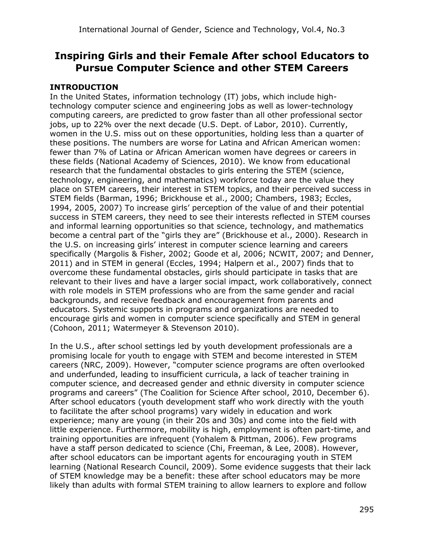# **Inspiring Girls and their Female After school Educators to Pursue Computer Science and other STEM Careers**

# **INTRODUCTION**

In the United States, information technology (IT) jobs, which include hightechnology computer science and engineering jobs as well as lower-technology computing careers, are predicted to grow faster than all other professional sector jobs, up to 22% over the next decade (U.S. Dept. of Labor, 2010). Currently, women in the U.S. miss out on these opportunities, holding less than a quarter of these positions. The numbers are worse for Latina and African American women: fewer than 7% of Latina or African American women have degrees or careers in these fields (National Academy of Sciences, 2010). We know from educational research that the fundamental obstacles to girls entering the STEM (science, technology, engineering, and mathematics) workforce today are the value they place on STEM careers, their interest in STEM topics, and their perceived success in STEM fields (Barman, 1996; Brickhouse et al., 2000; Chambers, 1983; Eccles, 1994, 2005, 2007) To increase girls' perception of the value of and their potential success in STEM careers, they need to see their interests reflected in STEM courses and informal learning opportunities so that science, technology, and mathematics become a central part of the "girls they are" (Brickhouse et al., 2000). Research in the U.S. on increasing girls' interest in computer science learning and careers specifically (Margolis & Fisher, 2002; Goode et al, 2006; NCWIT, 2007; and Denner, 2011) and in STEM in general (Eccles, 1994; Halpern et al., 2007) finds that to overcome these fundamental obstacles, girls should participate in tasks that are relevant to their lives and have a larger social impact, work collaboratively, connect with role models in STEM professions who are from the same gender and racial backgrounds, and receive feedback and encouragement from parents and educators. Systemic supports in programs and organizations are needed to encourage girls and women in computer science specifically and STEM in general (Cohoon, 2011; Watermeyer & Stevenson 2010).

In the U.S., after school settings led by youth development professionals are a promising locale for youth to engage with STEM and become interested in STEM careers (NRC, 2009). However, "computer science programs are often overlooked and underfunded, leading to insufficient curricula, a lack of teacher training in computer science, and decreased gender and ethnic diversity in computer science programs and careers" (The Coalition for Science After school, 2010, December 6). After school educators (youth development staff who work directly with the youth to facilitate the after school programs) vary widely in education and work experience; many are young (in their 20s and 30s) and come into the field with little experience. Furthermore, mobility is high, employment is often part-time, and training opportunities are infrequent (Yohalem & Pittman, 2006). Few programs have a staff person dedicated to science (Chi, Freeman, & Lee, 2008). However, after school educators can be important agents for encouraging youth in STEM learning (National Research Council, 2009). Some evidence suggests that their lack of STEM knowledge may be a benefit: these after school educators may be more likely than adults with formal STEM training to allow learners to explore and follow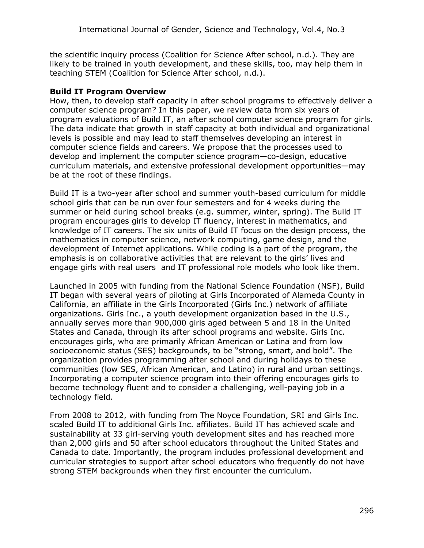the scientific inquiry process (Coalition for Science After school, n.d.). They are likely to be trained in youth development, and these skills, too, may help them in teaching STEM (Coalition for Science After school, n.d.).

#### **Build IT Program Overview**

How, then, to develop staff capacity in after school programs to effectively deliver a computer science program? In this paper, we review data from six years of program evaluations of Build IT, an after school computer science program for girls. The data indicate that growth in staff capacity at both individual and organizational levels is possible and may lead to staff themselves developing an interest in computer science fields and careers. We propose that the processes used to develop and implement the computer science program—co-design, educative curriculum materials, and extensive professional development opportunities—may be at the root of these findings.

Build IT is a two-year after school and summer youth-based curriculum for middle school girls that can be run over four semesters and for 4 weeks during the summer or held during school breaks (e.g. summer, winter, spring). The Build IT program encourages girls to develop IT fluency, interest in mathematics, and knowledge of IT careers. The six units of Build IT focus on the design process, the mathematics in computer science, network computing, game design, and the development of Internet applications. While coding is a part of the program, the emphasis is on collaborative activities that are relevant to the girls' lives and engage girls with real users and IT professional role models who look like them.

Launched in 2005 with funding from the National Science Foundation (NSF), Build IT began with several years of piloting at Girls Incorporated of Alameda County in California, an affiliate in the Girls Incorporated (Girls Inc.) network of affiliate organizations. Girls Inc., a youth development organization based in the U.S., annually serves more than 900,000 girls aged between 5 and 18 in the United States and Canada, through its after school programs and website. Girls Inc. encourages girls, who are primarily African American or Latina and from low socioeconomic status (SES) backgrounds, to be "strong, smart, and bold". The organization provides programming after school and during holidays to these communities (low SES, African American, and Latino) in rural and urban settings. Incorporating a computer science program into their offering encourages girls to become technology fluent and to consider a challenging, well-paying job in a technology field.

From 2008 to 2012, with funding from The Noyce Foundation, SRI and Girls Inc. scaled Build IT to additional Girls Inc. affiliates. Build IT has achieved scale and sustainability at 33 girl-serving youth development sites and has reached more than 2,000 girls and 50 after school educators throughout the United States and Canada to date. Importantly, the program includes professional development and curricular strategies to support after school educators who frequently do not have strong STEM backgrounds when they first encounter the curriculum.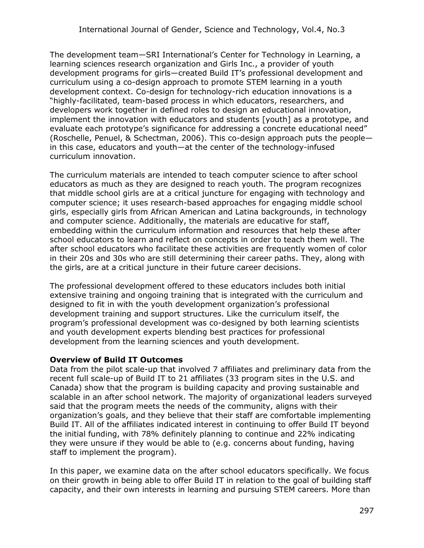The development team—SRI International's Center for Technology in Learning, a learning sciences research organization and Girls Inc., a provider of youth development programs for girls—created Build IT's professional development and curriculum using a co-design approach to promote STEM learning in a youth development context. Co-design for technology-rich education innovations is a "highly-facilitated, team-based process in which educators, researchers, and developers work together in defined roles to design an educational innovation, implement the innovation with educators and students [youth] as a prototype, and evaluate each prototype's significance for addressing a concrete educational need" (Roschelle, Penuel, & Schectman, 2006). This co-design approach puts the people in this case, educators and youth—at the center of the technology-infused curriculum innovation.

The curriculum materials are intended to teach computer science to after school educators as much as they are designed to reach youth. The program recognizes that middle school girls are at a critical juncture for engaging with technology and computer science; it uses research-based approaches for engaging middle school girls, especially girls from African American and Latina backgrounds, in technology and computer science. Additionally, the materials are educative for staff, embedding within the curriculum information and resources that help these after school educators to learn and reflect on concepts in order to teach them well. The after school educators who facilitate these activities are frequently women of color in their 20s and 30s who are still determining their career paths. They, along with the girls, are at a critical juncture in their future career decisions.

The professional development offered to these educators includes both initial extensive training and ongoing training that is integrated with the curriculum and designed to fit in with the youth development organization's professional development training and support structures. Like the curriculum itself, the program's professional development was co-designed by both learning scientists and youth development experts blending best practices for professional development from the learning sciences and youth development.

#### **Overview of Build IT Outcomes**

Data from the pilot scale-up that involved 7 affiliates and preliminary data from the recent full scale-up of Build IT to 21 affiliates (33 program sites in the U.S. and Canada) show that the program is building capacity and proving sustainable and scalable in an after school network. The majority of organizational leaders surveyed said that the program meets the needs of the community, aligns with their organization's goals, and they believe that their staff are comfortable implementing Build IT. All of the affiliates indicated interest in continuing to offer Build IT beyond the initial funding, with 78% definitely planning to continue and 22% indicating they were unsure if they would be able to (e.g. concerns about funding, having staff to implement the program).

In this paper, we examine data on the after school educators specifically. We focus on their growth in being able to offer Build IT in relation to the goal of building staff capacity, and their own interests in learning and pursuing STEM careers. More than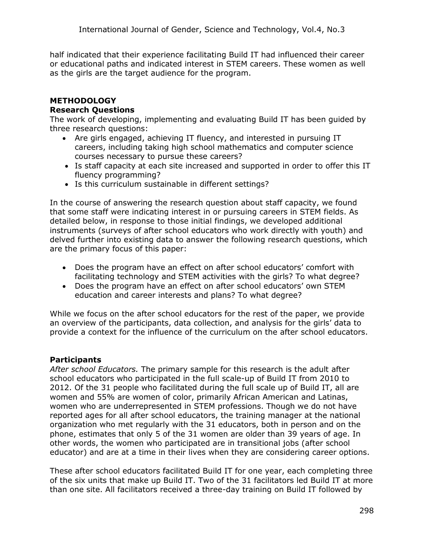half indicated that their experience facilitating Build IT had influenced their career or educational paths and indicated interest in STEM careers. These women as well as the girls are the target audience for the program.

#### **METHODOLOGY Research Questions**

The work of developing, implementing and evaluating Build IT has been guided by three research questions:

- Are girls engaged, achieving IT fluency, and interested in pursuing IT careers, including taking high school mathematics and computer science courses necessary to pursue these careers?
- Is staff capacity at each site increased and supported in order to offer this IT fluency programming?
- Is this curriculum sustainable in different settings?

In the course of answering the research question about staff capacity, we found that some staff were indicating interest in or pursuing careers in STEM fields. As detailed below, in response to those initial findings, we developed additional instruments (surveys of after school educators who work directly with youth) and delved further into existing data to answer the following research questions, which are the primary focus of this paper:

- Does the program have an effect on after school educators' comfort with facilitating technology and STEM activities with the girls? To what degree?
- Does the program have an effect on after school educators' own STEM education and career interests and plans? To what degree?

While we focus on the after school educators for the rest of the paper, we provide an overview of the participants, data collection, and analysis for the girls' data to provide a context for the influence of the curriculum on the after school educators.

# **Participants**

*After school Educators.* The primary sample for this research is the adult after school educators who participated in the full scale-up of Build IT from 2010 to 2012. Of the 31 people who facilitated during the full scale up of Build IT, all are women and 55% are women of color, primarily African American and Latinas, women who are underrepresented in STEM professions. Though we do not have reported ages for all after school educators, the training manager at the national organization who met regularly with the 31 educators, both in person and on the phone, estimates that only 5 of the 31 women are older than 39 years of age. In other words, the women who participated are in transitional jobs (after school educator) and are at a time in their lives when they are considering career options.

These after school educators facilitated Build IT for one year, each completing three of the six units that make up Build IT. Two of the 31 facilitators led Build IT at more than one site. All facilitators received a three-day training on Build IT followed by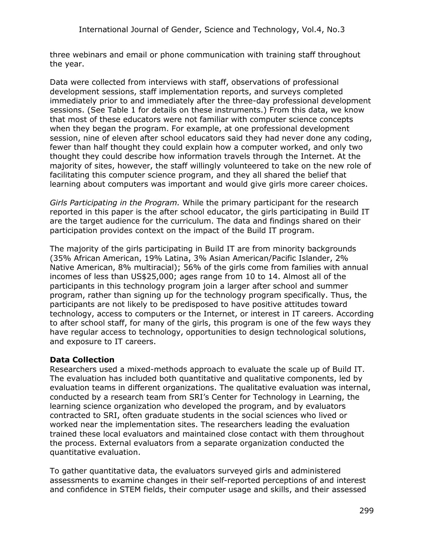three webinars and email or phone communication with training staff throughout the year.

Data were collected from interviews with staff, observations of professional development sessions, staff implementation reports, and surveys completed immediately prior to and immediately after the three-day professional development sessions. (See Table 1 for details on these instruments.) From this data, we know that most of these educators were not familiar with computer science concepts when they began the program. For example, at one professional development session, nine of eleven after school educators said they had never done any coding, fewer than half thought they could explain how a computer worked, and only two thought they could describe how information travels through the Internet. At the majority of sites, however, the staff willingly volunteered to take on the new role of facilitating this computer science program, and they all shared the belief that learning about computers was important and would give girls more career choices.

*Girls Participating in the Program.* While the primary participant for the research reported in this paper is the after school educator, the girls participating in Build IT are the target audience for the curriculum. The data and findings shared on their participation provides context on the impact of the Build IT program.

The majority of the girls participating in Build IT are from minority backgrounds (35% African American, 19% Latina, 3% Asian American/Pacific Islander, 2% Native American, 8% multiracial); 56% of the girls come from families with annual incomes of less than US\$25,000; ages range from 10 to 14. Almost all of the participants in this technology program join a larger after school and summer program, rather than signing up for the technology program specifically. Thus, the participants are not likely to be predisposed to have positive attitudes toward technology, access to computers or the Internet, or interest in IT careers. According to after school staff, for many of the girls, this program is one of the few ways they have regular access to technology, opportunities to design technological solutions, and exposure to IT careers.

#### **Data Collection**

Researchers used a mixed-methods approach to evaluate the scale up of Build IT. The evaluation has included both quantitative and qualitative components, led by evaluation teams in different organizations. The qualitative evaluation was internal, conducted by a research team from SRI's Center for Technology in Learning, the learning science organization who developed the program, and by evaluators contracted to SRI, often graduate students in the social sciences who lived or worked near the implementation sites. The researchers leading the evaluation trained these local evaluators and maintained close contact with them throughout the process. External evaluators from a separate organization conducted the quantitative evaluation.

To gather quantitative data, the evaluators surveyed girls and administered assessments to examine changes in their self-reported perceptions of and interest and confidence in STEM fields, their computer usage and skills, and their assessed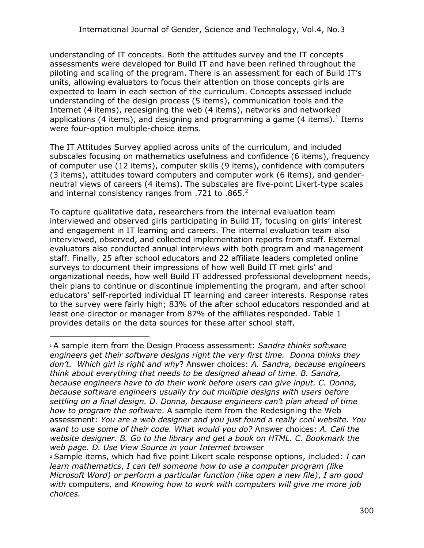understanding of IT concepts. Both the attitudes survey and the IT concepts assessments were developed for Build IT and have been refined throughout the piloting and scaling of the program. There is an assessment for each of Build IT's units, allowing evaluators to focus their attention on those concepts girls are expected to learn in each section of the curriculum. Concepts assessed include understanding of the design process (5 items), communication tools and the Internet (4 items), redesigning the web (4 items), networks and networked applications (4 items), and designing and programming a game (4 items). $^{1}$  Items were four-option multiple-choice items.

The IT Attitudes Survey applied across units of the curriculum, and included subscales focusing on mathematics usefulness and confidence (6 items), frequency of computer use (12 items), computer skills (9 items), confidence with computers (3 items), attitudes toward computers and computer work (6 items), and genderneutral views of careers (4 items). The subscales are five-point Likert-type scales and internal consistency ranges from .721 to .865.<sup>2</sup>

To capture qualitative data, researchers from the internal evaluation team interviewed and observed girls participating in Build IT, focusing on girls' interest and engagement in IT learning and careers. The internal evaluation team also interviewed, observed, and collected implementation reports from staff. External evaluators also conducted annual interviews with both program and management staff. Finally, 25 after school educators and 22 affiliate leaders completed online surveys to document their impressions of how well Build IT met girls' and organizational needs, how well Build IT addressed professional development needs, their plans to continue or discontinue implementing the program, and after school educators' self-reported individual IT learning and career interests. Response rates to the survey were fairly high; 83% of the after school educators responded and at least one director or manager from 87% of the affiliates responded. Table 1 provides details on the data sources for these after school staff.

 $\overline{a}$ 

<sup>1</sup> A sample item from the Design Process assessment: *Sandra thinks software engineers get their software designs right the very first time. Donna thinks they don't. Which girl is right and why*? Answer choices: *A. Sandra, because engineers think about everything that needs to be designed ahead of time. B. Sandra, because engineers have to do their work before users can give input. C. Donna, because software engineers usually try out multiple designs with users before settling on a final design. D. Donna, because engineers can't plan ahead of time how to program the software*. A sample item from the Redesigning the Web assessment: *You are a web designer and you just found a really cool website. You want to use some of their code. What would you do?* Answer choices: *A. Call the website designer. B. Go to the library and get a book on HTML. C. Bookmark the web page. D. Use View Source in your Internet browser*

<sup>2</sup> Sample items, which had five point Likert scale response options, included: *I can learn mathematics*, *I can tell someone how to use a computer program (like Microsoft Word) or perform a particular function (like open a new file)*, *I am good with* computers, and *Knowing how to work with computers will give me more job choices.*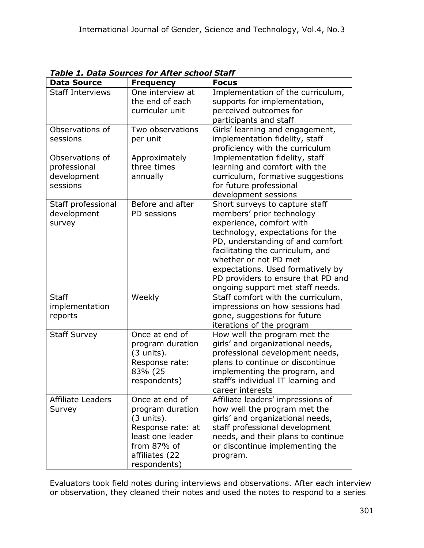|                                                            | rabic 1. Data Suurces für After School Staff                                                                                                         |                                                                                                                                                                                                                                                                                                                                             |
|------------------------------------------------------------|------------------------------------------------------------------------------------------------------------------------------------------------------|---------------------------------------------------------------------------------------------------------------------------------------------------------------------------------------------------------------------------------------------------------------------------------------------------------------------------------------------|
| <b>Data Source</b>                                         | <b>Frequency</b>                                                                                                                                     | <b>Focus</b>                                                                                                                                                                                                                                                                                                                                |
| <b>Staff Interviews</b>                                    | One interview at<br>the end of each<br>curricular unit                                                                                               | Implementation of the curriculum,<br>supports for implementation,<br>perceived outcomes for<br>participants and staff                                                                                                                                                                                                                       |
| Observations of<br>sessions                                | Two observations<br>per unit                                                                                                                         | Girls' learning and engagement,<br>implementation fidelity, staff<br>proficiency with the curriculum                                                                                                                                                                                                                                        |
| Observations of<br>professional<br>development<br>sessions | Approximately<br>three times<br>annually                                                                                                             | Implementation fidelity, staff<br>learning and comfort with the<br>curriculum, formative suggestions<br>for future professional<br>development sessions                                                                                                                                                                                     |
| Staff professional<br>development<br>survey                | Before and after<br>PD sessions                                                                                                                      | Short surveys to capture staff<br>members' prior technology<br>experience, comfort with<br>technology, expectations for the<br>PD, understanding of and comfort<br>facilitating the curriculum, and<br>whether or not PD met<br>expectations. Used formatively by<br>PD providers to ensure that PD and<br>ongoing support met staff needs. |
| <b>Staff</b><br>implementation<br>reports                  | Weekly                                                                                                                                               | Staff comfort with the curriculum,<br>impressions on how sessions had<br>gone, suggestions for future<br>iterations of the program                                                                                                                                                                                                          |
| <b>Staff Survey</b>                                        | Once at end of<br>program duration<br>$(3 \text{ units}).$<br>Response rate:<br>83% (25<br>respondents)                                              | How well the program met the<br>girls' and organizational needs,<br>professional development needs,<br>plans to continue or discontinue<br>implementing the program, and<br>staff's individual IT learning and<br>career interests                                                                                                          |
| Affiliate Leaders<br>Survey                                | Once at end of<br>program duration<br>$(3 \text{ units}).$<br>Response rate: at<br>least one leader<br>from 87% of<br>affiliates (22<br>respondents) | Affiliate leaders' impressions of<br>how well the program met the<br>girls' and organizational needs,<br>staff professional development<br>needs, and their plans to continue<br>or discontinue implementing the<br>program.                                                                                                                |

*Table 1. Data Sources for After school Staff*

Evaluators took field notes during interviews and observations. After each interview or observation, they cleaned their notes and used the notes to respond to a series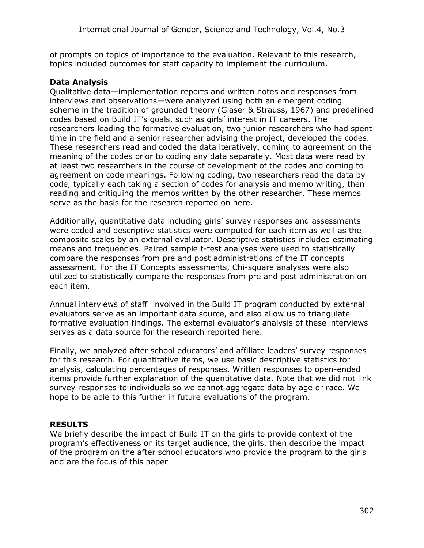of prompts on topics of importance to the evaluation. Relevant to this research, topics included outcomes for staff capacity to implement the curriculum.

### **Data Analysis**

Qualitative data—implementation reports and written notes and responses from interviews and observations—were analyzed using both an emergent coding scheme in the tradition of grounded theory (Glaser & Strauss, 1967) and predefined codes based on Build IT's goals, such as girls' interest in IT careers. The researchers leading the formative evaluation, two junior researchers who had spent time in the field and a senior researcher advising the project, developed the codes. These researchers read and coded the data iteratively, coming to agreement on the meaning of the codes prior to coding any data separately. Most data were read by at least two researchers in the course of development of the codes and coming to agreement on code meanings. Following coding, two researchers read the data by code, typically each taking a section of codes for analysis and memo writing, then reading and critiquing the memos written by the other researcher. These memos serve as the basis for the research reported on here.

Additionally, quantitative data including girls' survey responses and assessments were coded and descriptive statistics were computed for each item as well as the composite scales by an external evaluator. Descriptive statistics included estimating means and frequencies. Paired sample t-test analyses were used to statistically compare the responses from pre and post administrations of the IT concepts assessment. For the IT Concepts assessments, Chi-square analyses were also utilized to statistically compare the responses from pre and post administration on each item.

Annual interviews of staff involved in the Build IT program conducted by external evaluators serve as an important data source, and also allow us to triangulate formative evaluation findings. The external evaluator's analysis of these interviews serves as a data source for the research reported here.

Finally, we analyzed after school educators' and affiliate leaders' survey responses for this research. For quantitative items, we use basic descriptive statistics for analysis, calculating percentages of responses. Written responses to open-ended items provide further explanation of the quantitative data. Note that we did not link survey responses to individuals so we cannot aggregate data by age or race. We hope to be able to this further in future evaluations of the program.

#### **RESULTS**

We briefly describe the impact of Build IT on the girls to provide context of the program's effectiveness on its target audience, the girls, then describe the impact of the program on the after school educators who provide the program to the girls and are the focus of this paper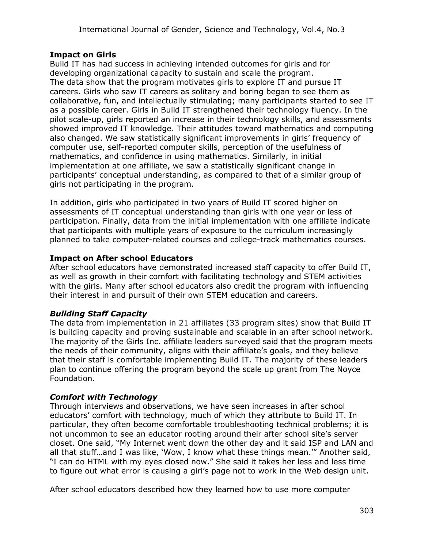### **Impact on Girls**

Build IT has had success in achieving intended outcomes for girls and for developing organizational capacity to sustain and scale the program. The data show that the program motivates girls to explore IT and pursue IT careers. Girls who saw IT careers as solitary and boring began to see them as collaborative, fun, and intellectually stimulating; many participants started to see IT as a possible career. Girls in Build IT strengthened their technology fluency. In the pilot scale-up, girls reported an increase in their technology skills, and assessments showed improved IT knowledge. Their attitudes toward mathematics and computing also changed. We saw statistically significant improvements in girls' frequency of computer use, self-reported computer skills, perception of the usefulness of mathematics, and confidence in using mathematics. Similarly, in initial implementation at one affiliate, we saw a statistically significant change in participants' conceptual understanding, as compared to that of a similar group of girls not participating in the program.

In addition, girls who participated in two years of Build IT scored higher on assessments of IT conceptual understanding than girls with one year or less of participation. Finally, data from the initial implementation with one affiliate indicate that participants with multiple years of exposure to the curriculum increasingly planned to take computer-related courses and college-track mathematics courses.

# **Impact on After school Educators**

After school educators have demonstrated increased staff capacity to offer Build IT, as well as growth in their comfort with facilitating technology and STEM activities with the girls. Many after school educators also credit the program with influencing their interest in and pursuit of their own STEM education and careers.

# *Building Staff Capacity*

The data from implementation in 21 affiliates (33 program sites) show that Build IT is building capacity and proving sustainable and scalable in an after school network. The majority of the Girls Inc. affiliate leaders surveyed said that the program meets the needs of their community, aligns with their affiliate's goals, and they believe that their staff is comfortable implementing Build IT. The majority of these leaders plan to continue offering the program beyond the scale up grant from The Noyce Foundation.

# *Comfort with Technology*

Through interviews and observations, we have seen increases in after school educators' comfort with technology, much of which they attribute to Build IT. In particular, they often become comfortable troubleshooting technical problems; it is not uncommon to see an educator rooting around their after school site's server closet. One said, "My Internet went down the other day and it said ISP and LAN and all that stuff…and I was like, 'Wow, I know what these things mean.'" Another said, "I can do HTML with my eyes closed now." She said it takes her less and less time to figure out what error is causing a girl's page not to work in the Web design unit.

After school educators described how they learned how to use more computer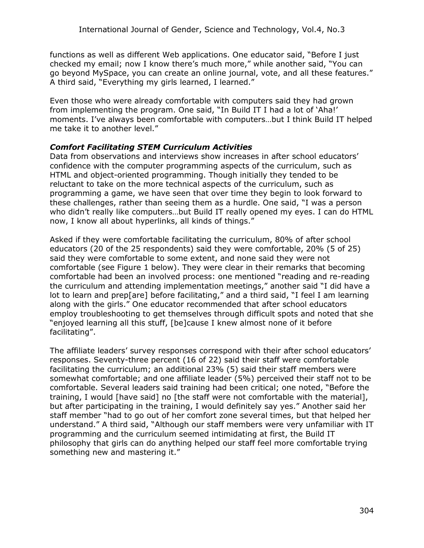functions as well as different Web applications. One educator said, "Before I just checked my email; now I know there's much more," while another said, "You can go beyond MySpace, you can create an online journal, vote, and all these features." A third said, "Everything my girls learned, I learned."

Even those who were already comfortable with computers said they had grown from implementing the program. One said, "In Build IT I had a lot of 'Aha!' moments. I've always been comfortable with computers…but I think Build IT helped me take it to another level."

### *Comfort Facilitating STEM Curriculum Activities*

Data from observations and interviews show increases in after school educators' confidence with the computer programming aspects of the curriculum, such as HTML and object-oriented programming. Though initially they tended to be reluctant to take on the more technical aspects of the curriculum, such as programming a game, we have seen that over time they begin to look forward to these challenges, rather than seeing them as a hurdle. One said, "I was a person who didn't really like computers…but Build IT really opened my eyes. I can do HTML now, I know all about hyperlinks, all kinds of things."

Asked if they were comfortable facilitating the curriculum, 80% of after school educators (20 of the 25 respondents) said they were comfortable, 20% (5 of 25) said they were comfortable to some extent, and none said they were not comfortable (see Figure 1 below). They were clear in their remarks that becoming comfortable had been an involved process: one mentioned "reading and re-reading the curriculum and attending implementation meetings," another said "I did have a lot to learn and prep[are] before facilitating," and a third said, "I feel I am learning along with the girls." One educator recommended that after school educators employ troubleshooting to get themselves through difficult spots and noted that she "enjoyed learning all this stuff, [be]cause I knew almost none of it before facilitating".

The affiliate leaders' survey responses correspond with their after school educators' responses. Seventy-three percent (16 of 22) said their staff were comfortable facilitating the curriculum; an additional 23% (5) said their staff members were somewhat comfortable; and one affiliate leader (5%) perceived their staff not to be comfortable. Several leaders said training had been critical; one noted, "Before the training, I would [have said] no [the staff were not comfortable with the material], but after participating in the training, I would definitely say yes." Another said her staff member "had to go out of her comfort zone several times, but that helped her understand." A third said, "Although our staff members were very unfamiliar with IT programming and the curriculum seemed intimidating at first, the Build IT philosophy that girls can do anything helped our staff feel more comfortable trying something new and mastering it."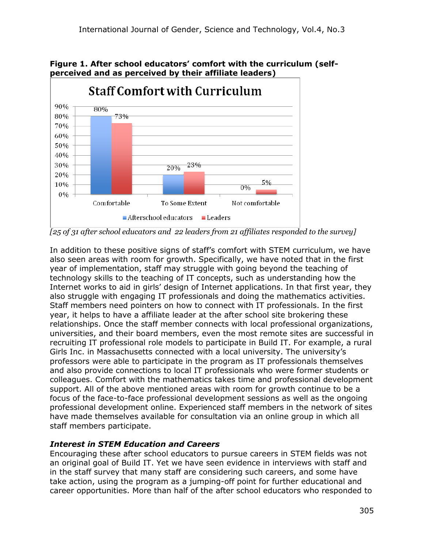



*[25 of 31 after school educators and 22 leaders from 21 affiliates responded to the survey]*

In addition to these positive signs of staff's comfort with STEM curriculum, we have also seen areas with room for growth. Specifically, we have noted that in the first year of implementation, staff may struggle with going beyond the teaching of technology skills to the teaching of IT concepts, such as understanding how the Internet works to aid in girls' design of Internet applications. In that first year, they also struggle with engaging IT professionals and doing the mathematics activities. Staff members need pointers on how to connect with IT professionals. In the first year, it helps to have a affiliate leader at the after school site brokering these relationships. Once the staff member connects with local professional organizations, universities, and their board members, even the most remote sites are successful in recruiting IT professional role models to participate in Build IT. For example, a rural Girls Inc. in Massachusetts connected with a local university. The university's professors were able to participate in the program as IT professionals themselves and also provide connections to local IT professionals who were former students or colleagues. Comfort with the mathematics takes time and professional development support. All of the above mentioned areas with room for growth continue to be a focus of the face-to-face professional development sessions as well as the ongoing professional development online. Experienced staff members in the network of sites have made themselves available for consultation via an online group in which all staff members participate.

#### *Interest in STEM Education and Careers*

Encouraging these after school educators to pursue careers in STEM fields was not an original goal of Build IT. Yet we have seen evidence in interviews with staff and in the staff survey that many staff are considering such careers, and some have take action, using the program as a jumping-off point for further educational and career opportunities. More than half of the after school educators who responded to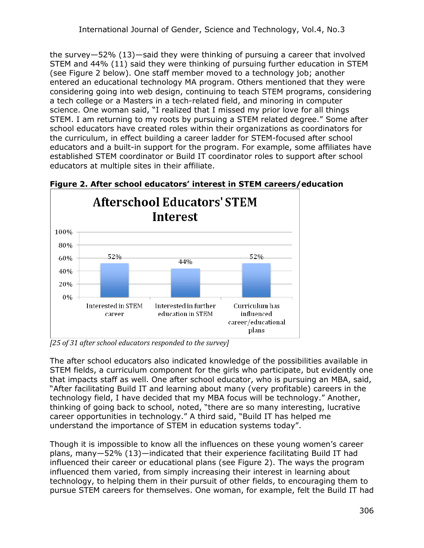the survey—52% (13)—said they were thinking of pursuing a career that involved STEM and 44% (11) said they were thinking of pursuing further education in STEM (see Figure 2 below). One staff member moved to a technology job; another entered an educational technology MA program. Others mentioned that they were considering going into web design, continuing to teach STEM programs, considering a tech college or a Masters in a tech-related field, and minoring in computer science. One woman said, "I realized that I missed my prior love for all things STEM. I am returning to my roots by pursuing a STEM related degree." Some after school educators have created roles within their organizations as coordinators for the curriculum, in effect building a career ladder for STEM-focused after school educators and a built-in support for the program. For example, some affiliates have established STEM coordinator or Build IT coordinator roles to support after school educators at multiple sites in their affiliate.



**Figure 2. After school educators' interest in STEM careers/education**

*[25 of 31 after school educators responded to the survey]*

The after school educators also indicated knowledge of the possibilities available in STEM fields, a curriculum component for the girls who participate, but evidently one that impacts staff as well. One after school educator, who is pursuing an MBA, said, "After facilitating Build IT and learning about many (very profitable) careers in the technology field, I have decided that my MBA focus will be technology." Another, thinking of going back to school, noted, "there are so many interesting, lucrative career opportunities in technology." A third said, "Build IT has helped me understand the importance of STEM in education systems today".

Though it is impossible to know all the influences on these young women's career plans, many—52% (13)—indicated that their experience facilitating Build IT had influenced their career or educational plans (see Figure 2). The ways the program influenced them varied, from simply increasing their interest in learning about technology, to helping them in their pursuit of other fields, to encouraging them to pursue STEM careers for themselves. One woman, for example, felt the Build IT had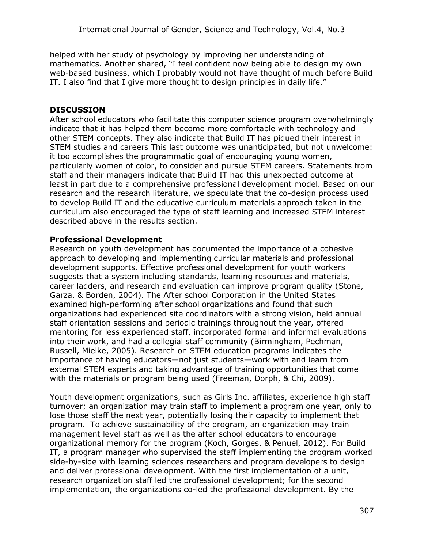helped with her study of psychology by improving her understanding of mathematics. Another shared, "I feel confident now being able to design my own web-based business, which I probably would not have thought of much before Build IT. I also find that I give more thought to design principles in daily life."

### **DISCUSSION**

After school educators who facilitate this computer science program overwhelmingly indicate that it has helped them become more comfortable with technology and other STEM concepts. They also indicate that Build IT has piqued their interest in STEM studies and careers This last outcome was unanticipated, but not unwelcome: it too accomplishes the programmatic goal of encouraging young women, particularly women of color, to consider and pursue STEM careers. Statements from staff and their managers indicate that Build IT had this unexpected outcome at least in part due to a comprehensive professional development model. Based on our research and the research literature, we speculate that the co-design process used to develop Build IT and the educative curriculum materials approach taken in the curriculum also encouraged the type of staff learning and increased STEM interest described above in the results section.

#### **Professional Development**

Research on youth development has documented the importance of a cohesive approach to developing and implementing curricular materials and professional development supports. Effective professional development for youth workers suggests that a system including standards, learning resources and materials, career ladders, and research and evaluation can improve program quality (Stone, Garza, & Borden, 2004). The After school Corporation in the United States examined high-performing after school organizations and found that such organizations had experienced site coordinators with a strong vision, held annual staff orientation sessions and periodic trainings throughout the year, offered mentoring for less experienced staff, incorporated formal and informal evaluations into their work, and had a collegial staff community (Birmingham, Pechman, Russell, Mielke, 2005). Research on STEM education programs indicates the importance of having educators—not just students—work with and learn from external STEM experts and taking advantage of training opportunities that come with the materials or program being used (Freeman, Dorph, & Chi, 2009).

Youth development organizations, such as Girls Inc. affiliates, experience high staff turnover; an organization may train staff to implement a program one year, only to lose those staff the next year, potentially losing their capacity to implement that program. To achieve sustainability of the program, an organization may train management level staff as well as the after school educators to encourage organizational memory for the program (Koch, Gorges, & Penuel, 2012). For Build IT, a program manager who supervised the staff implementing the program worked side-by-side with learning sciences researchers and program developers to design and deliver professional development. With the first implementation of a unit, research organization staff led the professional development; for the second implementation, the organizations co-led the professional development. By the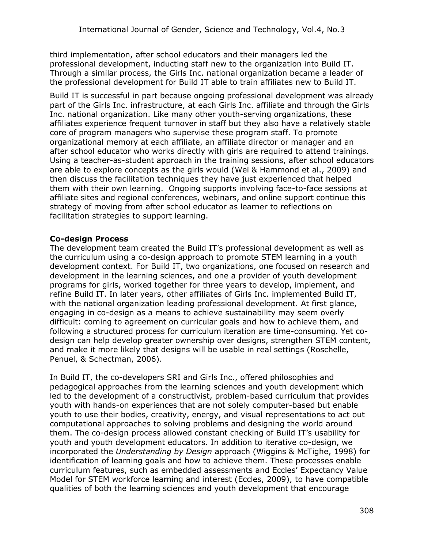third implementation, after school educators and their managers led the professional development, inducting staff new to the organization into Build IT. Through a similar process, the Girls Inc. national organization became a leader of the professional development for Build IT able to train affiliates new to Build IT.

Build IT is successful in part because ongoing professional development was already part of the Girls Inc. infrastructure, at each Girls Inc. affiliate and through the Girls Inc. national organization. Like many other youth-serving organizations, these affiliates experience frequent turnover in staff but they also have a relatively stable core of program managers who supervise these program staff. To promote organizational memory at each affiliate, an affiliate director or manager and an after school educator who works directly with girls are required to attend trainings. Using a teacher-as-student approach in the training sessions, after school educators are able to explore concepts as the girls would (Wei & Hammond et al., 2009) and then discuss the facilitation techniques they have just experienced that helped them with their own learning. Ongoing supports involving face-to-face sessions at affiliate sites and regional conferences, webinars, and online support continue this strategy of moving from after school educator as learner to reflections on facilitation strategies to support learning.

#### **Co-design Process**

The development team created the Build IT's professional development as well as the curriculum using a co-design approach to promote STEM learning in a youth development context. For Build IT, two organizations, one focused on research and development in the learning sciences, and one a provider of youth development programs for girls, worked together for three years to develop, implement, and refine Build IT. In later years, other affiliates of Girls Inc. implemented Build IT, with the national organization leading professional development. At first glance, engaging in co-design as a means to achieve sustainability may seem overly difficult: coming to agreement on curricular goals and how to achieve them, and following a structured process for curriculum iteration are time-consuming. Yet codesign can help develop greater ownership over designs, strengthen STEM content, and make it more likely that designs will be usable in real settings (Roschelle, Penuel, & Schectman, 2006).

In Build IT, the co-developers SRI and Girls Inc., offered philosophies and pedagogical approaches from the learning sciences and youth development which led to the development of a constructivist, problem-based curriculum that provides youth with hands-on experiences that are not solely computer-based but enable youth to use their bodies, creativity, energy, and visual representations to act out computational approaches to solving problems and designing the world around them. The co-design process allowed constant checking of Build IT's usability for youth and youth development educators. In addition to iterative co-design, we incorporated the *Understanding by Design* approach (Wiggins & McTighe, 1998) for identification of learning goals and how to achieve them. These processes enable curriculum features, such as embedded assessments and Eccles' Expectancy Value Model for STEM workforce learning and interest (Eccles, 2009), to have compatible qualities of both the learning sciences and youth development that encourage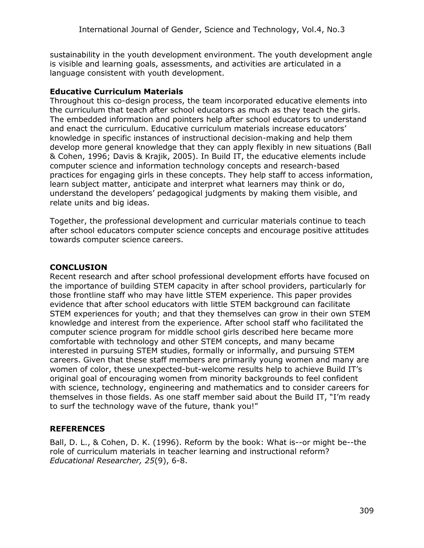sustainability in the youth development environment. The youth development angle is visible and learning goals, assessments, and activities are articulated in a language consistent with youth development.

#### **Educative Curriculum Materials**

Throughout this co-design process, the team incorporated educative elements into the curriculum that teach after school educators as much as they teach the girls. The embedded information and pointers help after school educators to understand and enact the curriculum. Educative curriculum materials increase educators' knowledge in specific instances of instructional decision-making and help them develop more general knowledge that they can apply flexibly in new situations (Ball & Cohen, 1996; Davis & Krajik, 2005). In Build IT, the educative elements include computer science and information technology concepts and research-based practices for engaging girls in these concepts. They help staff to access information, learn subject matter, anticipate and interpret what learners may think or do, understand the developers' pedagogical judgments by making them visible, and relate units and big ideas.

Together, the professional development and curricular materials continue to teach after school educators computer science concepts and encourage positive attitudes towards computer science careers.

#### **CONCLUSION**

Recent research and after school professional development efforts have focused on the importance of building STEM capacity in after school providers, particularly for those frontline staff who may have little STEM experience. This paper provides evidence that after school educators with little STEM background can facilitate STEM experiences for youth; and that they themselves can grow in their own STEM knowledge and interest from the experience. After school staff who facilitated the computer science program for middle school girls described here became more comfortable with technology and other STEM concepts, and many became interested in pursuing STEM studies, formally or informally, and pursuing STEM careers. Given that these staff members are primarily young women and many are women of color, these unexpected-but-welcome results help to achieve Build IT's original goal of encouraging women from minority backgrounds to feel confident with science, technology, engineering and mathematics and to consider careers for themselves in those fields. As one staff member said about the Build IT, "I'm ready to surf the technology wave of the future, thank you!"

#### **REFERENCES**

Ball, D. L., & Cohen, D. K. (1996). Reform by the book: What is--or might be--the role of curriculum materials in teacher learning and instructional reform? *Educational Researcher, 25*(9), 6-8.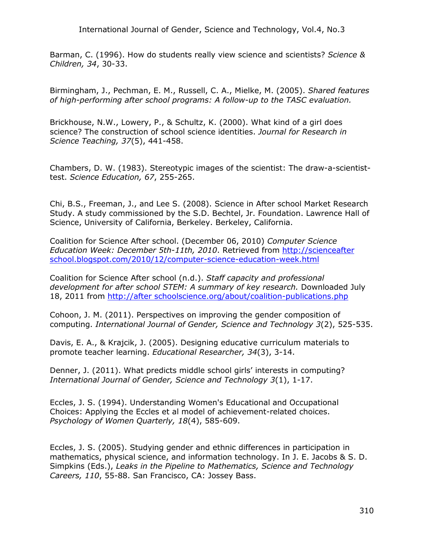International Journal of Gender, Science and Technology, Vol.4, No.3

Barman, C. (1996). How do students really view science and scientists? *Science & Children, 34*, 30-33.

Birmingham, J., Pechman, E. M., Russell, C. A., Mielke, M. (2005). *Shared features of high-performing after school programs: A follow-up to the TASC evaluation.*

Brickhouse, N.W., Lowery, P., & Schultz, K. (2000). What kind of a girl does science? The construction of school science identities. *Journal for Research in Science Teaching, 37*(5), 441-458.

Chambers, D. W. (1983). Stereotypic images of the scientist: The draw-a-scientisttest. *Science Education, 67*, 255-265.

Chi, B.S., Freeman, J., and Lee S. (2008). Science in After school Market Research Study. A study commissioned by the S.D. Bechtel, Jr. Foundation. Lawrence Hall of Science, University of California, Berkeley. Berkeley, California.

Coalition for Science After school. (December 06, 2010) *Computer Science Education Week: December 5th-11th, 2010*. Retrieved from [http://scienceafter](http://scienceafterschool.blogspot.com/2010/12/computer-science-education-week.html)  [school.blogspot.com/2010/12/computer-science-education-week.html](http://scienceafterschool.blogspot.com/2010/12/computer-science-education-week.html)

Coalition for Science After school (n.d.). *Staff capacity and professional development for after school STEM: A summary of key research.* Downloaded July 18, 2011 from [http://after schoolscience.org/about/coalition-publications.php](http://afterschoolscience.org/about/coalition-publications.php)

Cohoon, J. M. (2011). Perspectives on improving the gender composition of computing. *International Journal of Gender, Science and Technology 3*(2), 525-535.

Davis, E. A., & Krajcik, J. (2005). Designing educative curriculum materials to promote teacher learning. *Educational Researcher, 34*(3), 3-14.

Denner, J. (2011). What predicts middle school girls' interests in computing? *International Journal of Gender, Science and Technology 3*(1), 1-17.

Eccles, J. S. (1994). Understanding Women's Educational and Occupational Choices: Applying the Eccles et al model of achievement-related choices. *Psychology of Women Quarterly, 18*(4), 585-609.

Eccles, J. S. (2005). Studying gender and ethnic differences in participation in mathematics, physical science, and information technology. In J. E. Jacobs & S. D. Simpkins (Eds.), *Leaks in the Pipeline to Mathematics, Science and Technology Careers, 110*, 55-88. San Francisco, CA: Jossey Bass.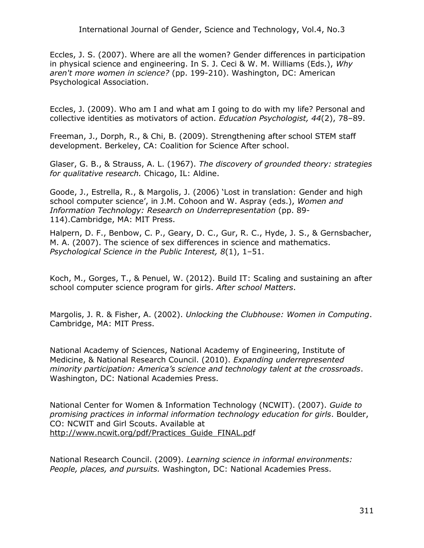Eccles, J. S. (2007). Where are all the women? Gender differences in participation in physical science and engineering. In S. J. Ceci & W. M. Williams (Eds.), *Why aren't more women in science?* (pp. 199-210). Washington, DC: American Psychological Association.

Eccles, J. (2009). Who am I and what am I going to do with my life? Personal and collective identities as motivators of action. *Education Psychologist, 44*(2), 78–89.

Freeman, J., Dorph, R., & Chi, B. (2009). Strengthening after school STEM staff development. Berkeley, CA: Coalition for Science After school.

Glaser, G. B., & Strauss, A. L. (1967). *The discovery of grounded theory: strategies for qualitative research.* Chicago, IL: Aldine.

Goode, J., Estrella, R., & Margolis, J. (2006) 'Lost in translation: Gender and high school computer science', in J.M. Cohoon and W. Aspray (eds.), *Women and Information Technology: Research on Underrepresentation* (pp. 89- 114).Cambridge, MA: MIT Press.

Halpern, D. F., Benbow, C. P., Geary, D. C., Gur, R. C., Hyde, J. S., & Gernsbacher, M. A. (2007). The science of sex differences in science and mathematics. *Psychological Science in the Public Interest, 8*(1), 1–51.

Koch, M., Gorges, T., & Penuel, W. (2012). Build IT: Scaling and sustaining an after school computer science program for girls. *After school Matters*.

Margolis, J. R. & Fisher, A. (2002). *Unlocking the Clubhouse: Women in Computing*. Cambridge, MA: MIT Press.

National Academy of Sciences, National Academy of Engineering, Institute of Medicine, & National Research Council. (2010). *Expanding underrepresented minority participation: America's science and technology talent at the crossroads*. Washington, DC: National Academies Press.

National Center for Women & Information Technology (NCWIT). (2007). *Guide to promising practices in informal information technology education for girls*. Boulder, CO: NCWIT and Girl Scouts. Available at [http://www.ncwit.org/pdf/Practices\\_Guide\\_FINAL.pdf](http://www.ncwit.org/pdf/Practices_Guide_FINAL.pd)

National Research Council. (2009). *Learning science in informal environments: People, places, and pursuits.* Washington, DC: National Academies Press.